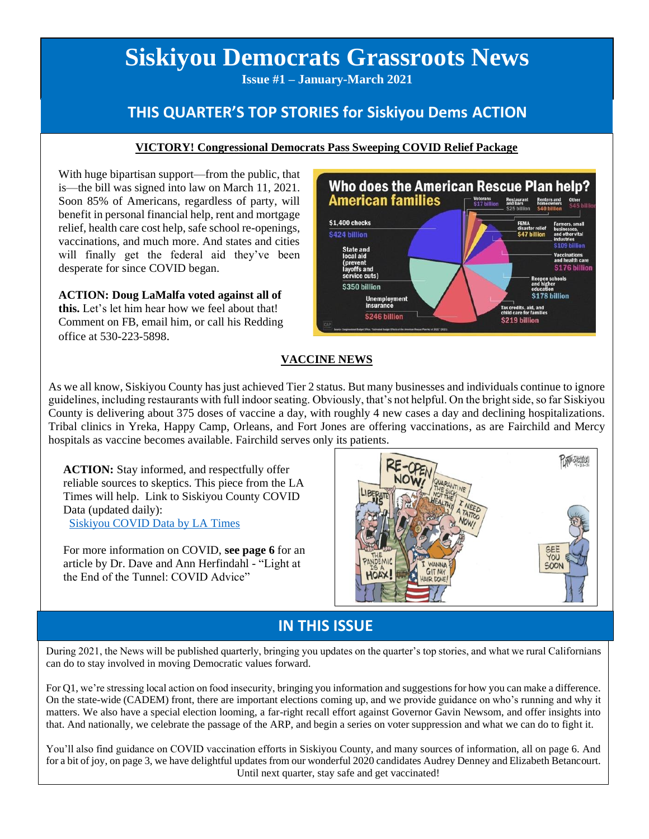# **Siskiyou Democrats Grassroots News**

**Issue #1 – January-March 2021**

## **THIS QUARTER'S TOP STORIES for Siskiyou Dems ACTION**

### **VICTORY! Congressional Democrats Pass Sweeping COVID Relief Package**

With huge bipartisan support—from the public, that is—the bill was signed into law on March 11, 2021. Soon 85% of Americans, regardless of party, will benefit in personal financial help, rent and mortgage relief, health care cost help, safe school re-openings, vaccinations, and much more. And states and cities will finally get the federal aid they've been desperate for since COVID began.

**ACTION: Doug LaMalfa voted against all of this.** Let's let him hear how we feel about that! Comment on FB, email him, or call his Redding office at 530-223-5898.



### **VACCINE NEWS**

As we all know, Siskiyou County has just achieved Tier 2 status. But many businesses and individuals continue to ignore guidelines, including restaurants with full indoor seating. Obviously, that's not helpful. On the bright side, so far Siskiyou County is delivering about 375 doses of vaccine a day, with roughly 4 new cases a day and declining hospitalizations. Tribal clinics in Yreka, Happy Camp, Orleans, and Fort Jones are offering vaccinations, as are Fairchild and Mercy hospitals as vaccine becomes available. Fairchild serves only its patients.

**ACTION:** Stay informed, and respectfully offer reliable sources to skeptics. This piece from the LA Times will help. Link to Siskiyou County COVID Data (updated daily): [Siskiyou COVID Data by LA Times](https://www.latimes.com/projects/california-coronavirus-cases-tracking-outbreak/siskiyou-county/)

For more information on COVID, **see page 6** for an article by Dr. Dave and Ann Herfindahl - "Light at the End of the Tunnel: COVID Advice"



## **IN THIS ISSUE**

During 2021, the News will be published quarterly, bringing you updates on the quarter's top stories, and what we rural Californians can do to stay involved in moving Democratic values forward.

For Q1, we're stressing local action on food insecurity, bringing you information and suggestions for how you can make a difference. On the state-wide (CADEM) front, there are important elections coming up, and we provide guidance on who's running and why it matters. We also have a special election looming, a far-right recall effort against Governor Gavin Newsom, and offer insights into that. And nationally, we celebrate the passage of the ARP, and begin a series on voter suppression and what we can do to fight it.

You'll also find guidance on COVID vaccination efforts in Siskiyou County, and many sources of information, all on page 6. And for a bit of joy, on page 3, we have delightful updates from our wonderful 2020 candidates Audrey Denney and Elizabeth Betancourt. Until next quarter, stay safe and get vaccinated!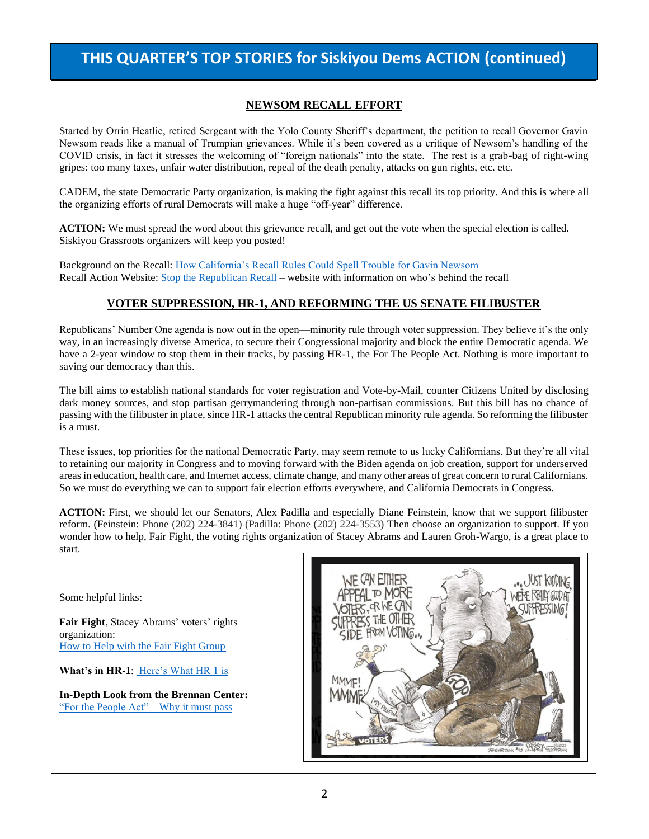## **THIS QUARTER'S TOP STORIES for Siskiyou Dems ACTION (continued)**

### **NEWSOM RECALL EFFORT**

Started by Orrin Heatlie, retired Sergeant with the Yolo County Sheriff's department, the petition to recall Governor Gavin Newsom reads like a manual of Trumpian grievances. While it's been covered as a critique of Newsom's handling of the COVID crisis, in fact it stresses the welcoming of "foreign nationals" into the state. The rest is a grab-bag of right-wing gripes: too many taxes, unfair water distribution, repeal of the death penalty, attacks on gun rights, etc. etc.

CADEM, the state Democratic Party organization, is making the fight against this recall its top priority. And this is where all the organizing efforts of rural Democrats will make a huge "off-year" difference.

**ACTION:** We must spread the word about this grievance recall, and get out the vote when the special election is called. Siskiyou Grassroots organizers will keep you posted!

Background on the Recall: [How California's Recall Rules Could Spell Trouble for Gavin Newsom](https://www.abc10.com/article/news/local/california/recall-newsom-efforts/103-4979f471-d963-41a1-b69e-20b2206b1402) Recall Action Website: [Stop the Republican Recall](https://stoptherepublicanrecall.com/) – website with information on who's behind the recall

#### **VOTER SUPPRESSION, HR-1, AND REFORMING THE US SENATE FILIBUSTER**

Republicans' Number One agenda is now out in the open—minority rule through voter suppression. They believe it's the only way, in an increasingly diverse America, to secure their Congressional majority and block the entire Democratic agenda. We have a 2-year window to stop them in their tracks, by passing HR-1, the For The People Act. Nothing is more important to saving our democracy than this.

The bill aims to establish national standards for voter registration and Vote-by-Mail, counter Citizens United by disclosing dark money sources, and stop partisan gerrymandering through non-partisan commissions. But this bill has no chance of passing with the filibuster in place, since HR-1 attacks the central Republican minority rule agenda. So reforming the filibuster is a must.

These issues, top priorities for the national Democratic Party, may seem remote to us lucky Californians. But they're all vital to retaining our majority in Congress and to moving forward with the Biden agenda on job creation, support for underserved areas in education, health care, and Internet access, climate change, and many other areas of great concern to rural Californians. So we must do everything we can to support fair election efforts everywhere, and California Democrats in Congress.

**ACTION:** First, we should let our Senators, Alex Padilla and especially Diane Feinstein, know that we support filibuster reform. (Feinstein: Phone (202) 224-3841) (Padilla: Phone (202) 224-3553) Then choose an organization to support. If you wonder how to help, Fair Fight, the voting rights organization of Stacey Abrams and Lauren Groh-Wargo, is a great place to start.

Some helpful links:

**Fair Fight**, Stacey Abrams' voters' rights organization: [How to Help with the Fair Fight Group](https://fairfight.com/how-to-help/)

**What's in HR-1**: [Here's What HR 1 is](https://www.washingtonpost.com/politics/2021/03/05/hr1-bill-what-is-it/)

**In-Depth Look from the Brennan Center:** ["For the People Act" –](https://www.brennancenter.org/our-work/policy-solutions/congress-must-pass-people-act) Why it must pass

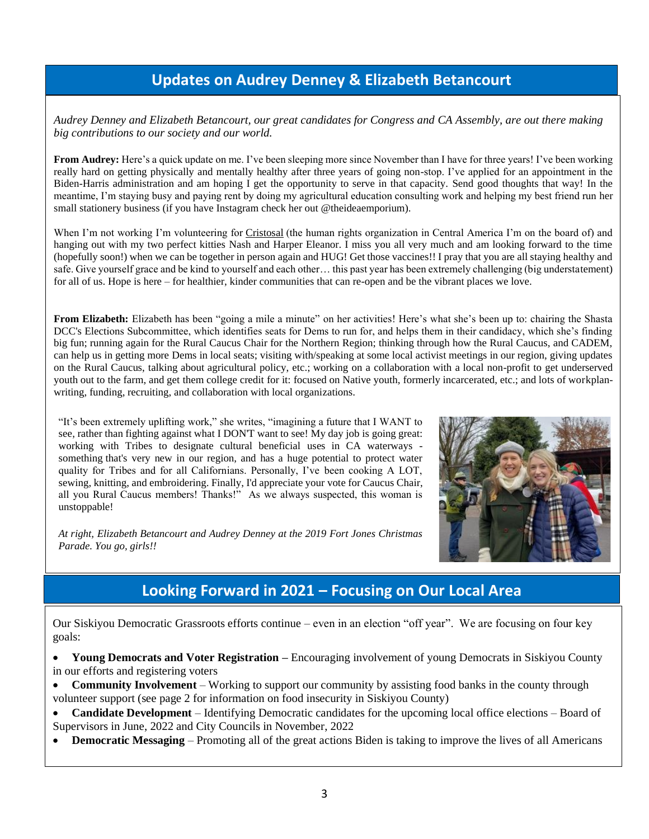## **Updates on Audrey Denney & Elizabeth Betancourt**

*Audrey Denney and Elizabeth Betancourt, our great candidates for Congress and CA Assembly, are out there making big contributions to our society and our world.*

From Audrey: Here's a quick update on me. I've been sleeping more since November than I have for three years! I've been working really hard on getting physically and mentally healthy after three years of going non-stop. I've applied for an appointment in the Biden-Harris administration and am hoping I get the opportunity to serve in that capacity. Send good thoughts that way! In the meantime, I'm staying busy and paying rent by doing my agricultural education consulting work and helping my best friend run her small stationery business (if you have Instagram check her out @theideaemporium).

When I'm not working I'm volunteering for Cristosal (the human rights organization in Central America I'm on the board of) and hanging out with my two perfect kitties Nash and Harper Eleanor. I miss you all very much and am looking forward to the time (hopefully soon!) when we can be together in person again and HUG! Get those vaccines!! I pray that you are all staying healthy and safe. Give yourself grace and be kind to yourself and each other… this past year has been extremely challenging (big understatement) for all of us. Hope is here – for healthier, kinder communities that can re-open and be the vibrant places we love.

**From Elizabeth:** Elizabeth has been "going a mile a minute" on her activities! Here's what she's been up to: chairing the Shasta DCC's Elections Subcommittee, which identifies seats for Dems to run for, and helps them in their candidacy, which she's finding big fun; running again for the Rural Caucus Chair for the Northern Region; thinking through how the Rural Caucus, and CADEM, can help us in getting more Dems in local seats; visiting with/speaking at some local activist meetings in our region, giving updates on the Rural Caucus, talking about agricultural policy, etc.; working on a collaboration with a local non-profit to get underserved youth out to the farm, and get them college credit for it: focused on Native youth, formerly incarcerated, etc.; and lots of workplanwriting, funding, recruiting, and collaboration with local organizations.

"It's been extremely uplifting work," she writes, "imagining a future that I WANT to see, rather than fighting against what I DON'T want to see! My day job is going great: working with Tribes to designate cultural beneficial uses in CA waterways something that's very new in our region, and has a huge potential to protect water quality for Tribes and for all Californians. Personally, I've been cooking A LOT, sewing, knitting, and embroidering. Finally, I'd appreciate your vote for Caucus Chair, all you Rural Caucus members! Thanks!" As we always suspected, this woman is unstoppable!



*At right, Elizabeth Betancourt and Audrey Denney at the 2019 Fort Jones Christmas Parade. You go, girls!!*

## **Looking Forward in 2021 – Focusing on Our Local Area**

Our Siskiyou Democratic Grassroots efforts continue – even in an election "off year". We are focusing on four key goals:

• **Young Democrats and Voter Registration –** Encouraging involvement of young Democrats in Siskiyou County in our efforts and registering voters

• **Community Involvement** – Working to support our community by assisting food banks in the county through volunteer support (see page 2 for information on food insecurity in Siskiyou County)

• **Candidate Development** – Identifying Democratic candidates for the upcoming local office elections – Board of Supervisors in June, 2022 and City Councils in November, 2022

• **Democratic Messaging** – Promoting all of the great actions Biden is taking to improve the lives of all Americans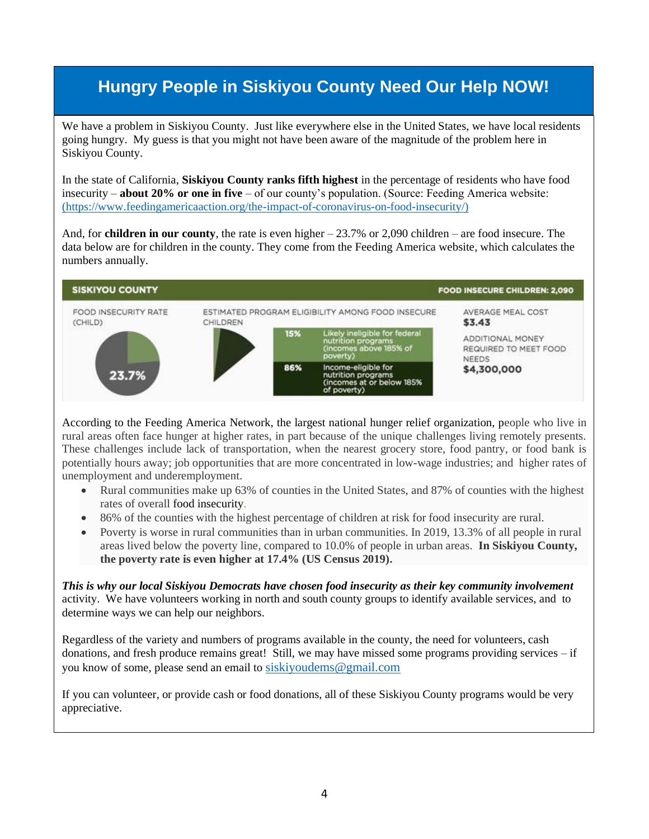## **Hungry People in Siskiyou County Need Our Help NOW!**

We have a problem in Siskiyou County. Just like everywhere else in the United States, we have local residents going hungry. My guess is that you might not have been aware of the magnitude of the problem here in Siskiyou County.

In the state of California, **Siskiyou County ranks fifth highest** in the percentage of residents who have food insecurity – **about 20% or one in five** – of our county's population. (Source: Feeding America website: [\(https://www.feedingamericaaction.org/the-impact-of-coronavirus-on-food-insecurity/\)](https://www.feedingamericaaction.org/the-impact-of-coronavirus-on-food-insecurity/)

And, for **children in our county**, the rate is even higher  $-23.7\%$  or 2,090 children – are food insecure. The data below are for children in the county. They come from the Feeding America website, which calculates the numbers annually.



According to the Feeding America Network, the largest national hunger relief organization, people who live in rural areas often face hunger at higher rates, in part because of the unique challenges living remotely presents. These challenges include lack of transportation, when the nearest grocery store, food pantry, or food bank is potentially hours away; job opportunities that are more concentrated in low-wage industries; and higher rates of unemployment and underemployment.

- Rural communities make up 63% of counties in the United States, and 87% of counties with the highest rates of overall food insecurity.
- 86% of the counties with the highest percentage of children at risk for food insecurity are rural.
- Poverty is worse in rural communities than in urban communities. In 2019, 13.3% of all people in rural areas lived below the poverty line, compared to 10.0% of people in urban areas. **In Siskiyou County, the poverty rate is even higher at 17.4% (US Census 2019).**

*This is why our local Siskiyou Democrats have chosen food insecurity as their key community involvement*  activity. We have volunteers working in north and south county groups to identify available services, and to determine ways we can help our neighbors.

Regardless of the variety and numbers of programs available in the county, the need for volunteers, cash donations, and fresh produce remains great! Still, we may have missed some programs providing services – if you know of some, please send an email to [siskiyoudems@gmail.com](mailto:siskiyoudems@gmail.com)

If you can volunteer, or provide cash or food donations, all of these Siskiyou County programs would be very appreciative.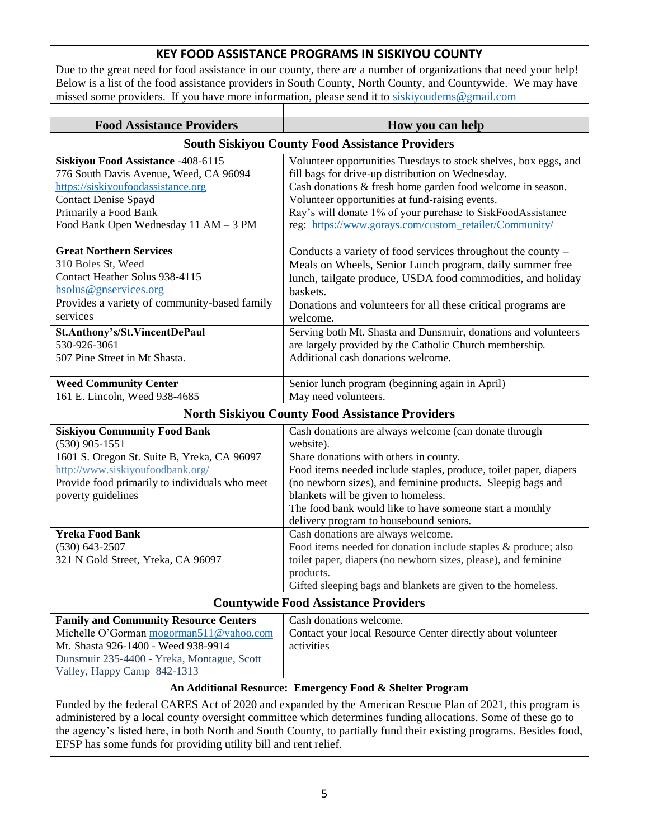### **KEY FOOD ASSISTANCE PROGRAMS IN SISKIYOU COUNTY**

Due to the great need for food assistance in our county, there are a number of organizations that need your help! Below is a list of the food assistance providers in South County, North County, and Countywide. We may have missed some providers. If you have more information, please send it to [siskiyoudems@gmail.com](mailto:siskiyoudems@gmail.com)

 $\perp$ 

| <b>Food Assistance Providers</b>                                                                                                                                                                                    | How you can help                                                                                                                                                                                                                                                                                                                                                                               |
|---------------------------------------------------------------------------------------------------------------------------------------------------------------------------------------------------------------------|------------------------------------------------------------------------------------------------------------------------------------------------------------------------------------------------------------------------------------------------------------------------------------------------------------------------------------------------------------------------------------------------|
| <b>South Siskiyou County Food Assistance Providers</b>                                                                                                                                                              |                                                                                                                                                                                                                                                                                                                                                                                                |
| Siskiyou Food Assistance -408-6115<br>776 South Davis Avenue, Weed, CA 96094<br>https://siskiyoufoodassistance.org<br><b>Contact Denise Spayd</b><br>Primarily a Food Bank<br>Food Bank Open Wednesday 11 AM - 3 PM | Volunteer opportunities Tuesdays to stock shelves, box eggs, and<br>fill bags for drive-up distribution on Wednesday.<br>Cash donations & fresh home garden food welcome in season.<br>Volunteer opportunities at fund-raising events.<br>Ray's will donate 1% of your purchase to SiskFoodAssistance<br>reg: https://www.gorays.com/custom_retailer/Community/                                |
| <b>Great Northern Services</b><br>310 Boles St, Weed<br>Contact Heather Solus 938-4115<br>hsolus@gnservices.org<br>Provides a variety of community-based family<br>services                                         | Conducts a variety of food services throughout the county -<br>Meals on Wheels, Senior Lunch program, daily summer free<br>lunch, tailgate produce, USDA food commodities, and holiday<br>baskets.<br>Donations and volunteers for all these critical programs are<br>welcome.                                                                                                                 |
| St.Anthony's/St.VincentDePaul<br>530-926-3061<br>507 Pine Street in Mt Shasta.                                                                                                                                      | Serving both Mt. Shasta and Dunsmuir, donations and volunteers<br>are largely provided by the Catholic Church membership.<br>Additional cash donations welcome.                                                                                                                                                                                                                                |
| <b>Weed Community Center</b><br>161 E. Lincoln, Weed 938-4685                                                                                                                                                       | Senior lunch program (beginning again in April)<br>May need volunteers.                                                                                                                                                                                                                                                                                                                        |
| <b>North Siskiyou County Food Assistance Providers</b>                                                                                                                                                              |                                                                                                                                                                                                                                                                                                                                                                                                |
| <b>Siskiyou Community Food Bank</b><br>$(530)$ 905-1551<br>1601 S. Oregon St. Suite B, Yreka, CA 96097<br>http://www.siskiyoufoodbank.org/<br>Provide food primarily to individuals who meet<br>poverty guidelines  | Cash donations are always welcome (can donate through<br>website).<br>Share donations with others in county.<br>Food items needed include staples, produce, toilet paper, diapers<br>(no newborn sizes), and feminine products. Sleepig bags and<br>blankets will be given to homeless.<br>The food bank would like to have someone start a monthly<br>delivery program to housebound seniors. |
| <b>Yreka Food Bank</b><br>$(530)$ 643-2507<br>321 N Gold Street, Yreka, CA 96097                                                                                                                                    | Cash donations are always welcome.<br>Food items needed for donation include staples & produce; also<br>toilet paper, diapers (no newborn sizes, please), and feminine<br>products.<br>Gifted sleeping bags and blankets are given to the homeless.                                                                                                                                            |
| <b>Countywide Food Assistance Providers</b>                                                                                                                                                                         |                                                                                                                                                                                                                                                                                                                                                                                                |
| <b>Family and Community Resource Centers</b><br>Michelle O'Gorman mogorman511@yahoo.com<br>Mt. Shasta 926-1400 - Weed 938-9914<br>Dunsmuir 235-4400 - Yreka, Montague, Scott<br>Valley, Happy Camp 842-1313         | Cash donations welcome.<br>Contact your local Resource Center directly about volunteer<br>activities                                                                                                                                                                                                                                                                                           |

### **An Additional Resource: Emergency Food & Shelter Program**

Funded by the federal CARES Act of 2020 and expanded by the American Rescue Plan of 2021, this program is administered by a local county oversight committee which determines funding allocations. Some of these go to the agency's listed here, in both North and South County, to partially fund their existing programs. Besides food, EFSP has some funds for providing utility bill and rent relief.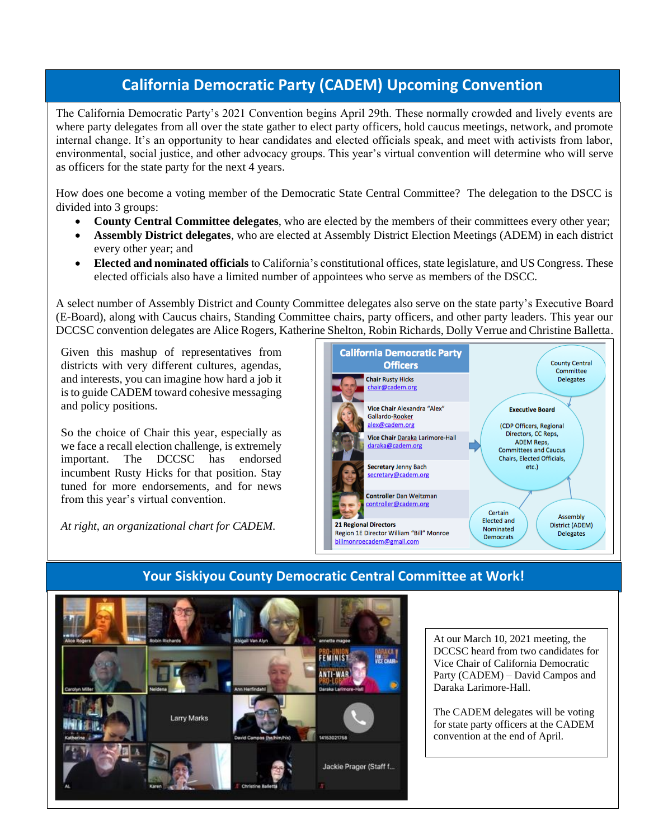## **California Democratic Party (CADEM) Upcoming Convention**

The California Democratic Party's 2021 Convention begins April 29th. These normally crowded and lively events are where party delegates from all over the state gather to elect party officers, hold caucus meetings, network, and promote internal change. It's an opportunity to hear candidates and elected officials speak, and meet with activists from labor, environmental, social justice, and other advocacy groups. This year's virtual convention will determine who will serve as officers for the state party for the next 4 years.

How does one become a voting member of the Democratic State Central Committee? The delegation to the DSCC is divided into 3 groups:

- **County Central Committee delegates**, who are elected by the members of their committees every other year;
- **Assembly District delegates**, who are elected at Assembly District Election Meetings (ADEM) in each district every other year; and
- **Elected and nominated officials** to California's constitutional offices, state legislature, and US Congress. These elected officials also have a limited number of appointees who serve as members of the DSCC.

A select number of Assembly District and County Committee delegates also serve on the state party's Executive Board (E-Board), along with Caucus chairs, Standing Committee chairs, party officers, and other party leaders. This year our DCCSC convention delegates are Alice Rogers, Katherine Shelton, Robin Richards, Dolly Verrue and Christine Balletta.

Given this mashup of representatives from districts with very different cultures, agendas, and interests, you can imagine how hard a job it is to guide CADEM toward cohesive messaging and policy positions.

So the choice of Chair this year, especially as we face a recall election challenge, is extremely important. The DCCSC has endorsed incumbent Rusty Hicks for that position. Stay tuned for more endorsements, and for news from this year's virtual convention.

*At right, an organizational chart for CADEM.* 





## **Your Siskiyou County Democratic Central Committee at Work!**

At our March 10, 2021 meeting, the DCCSC heard from two candidates for Vice Chair of California Democratic Party (CADEM) – David Campos and Daraka Larimore-Hall.

The CADEM delegates will be voting for state party officers at the CADEM convention at the end of April.